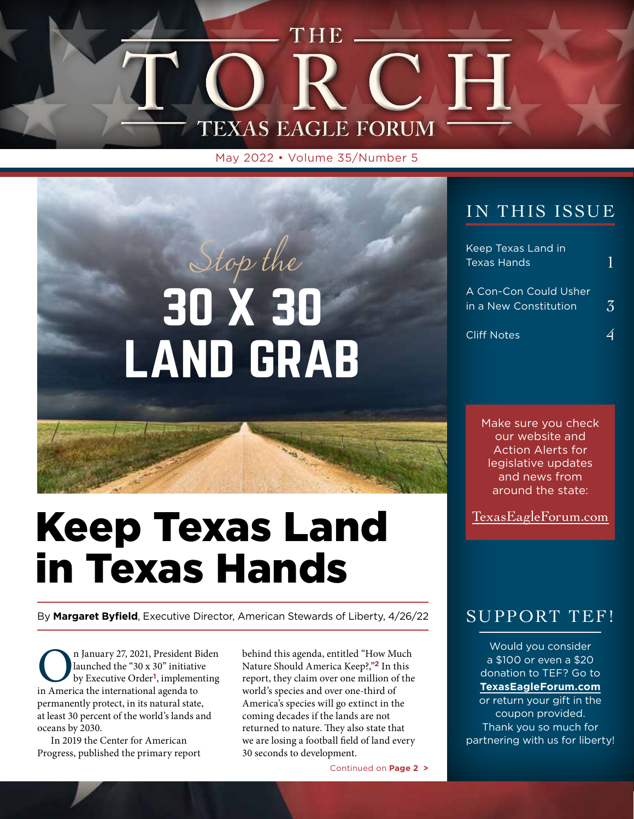

May 2022 • Volume 35/Number 5

# 30 X 30 LAND GRAB Stop the

# Keep Texas Land in Texas Hands

By **Margaret Byfield**, Executive Director, American Stewards of Liberty, 4/26/22

**On** January 27, 2021, President Biden<br>launched the "30 x 30" initiative<br>by Executive Order<sup>1</sup>, implementing<br>in America the international agenda to launched the "30 x 30" initiative by Executive Order**<sup>1</sup>**, implementing in America the international agenda to permanently protect, in its natural state, at least 30 percent of the world's lands and oceans by 2030.

In 2019 the Center for American Progress, published the primary report

behind this agenda, entitled "How Much Nature Should America Keep?,"**<sup>2</sup>** In this report, they claim over one million of the world's species and over one-third of America's species will go extinct in the coming decades if the lands are not returned to nature. They also state that we are losing a football field of land every 30 seconds to development.

Continued on **Page 2 >**

#### IN THIS ISSUE

| Keep Texas Land in<br>Texas Hands              |               |
|------------------------------------------------|---------------|
| A Con-Con Could Usher<br>in a New Constitution | $\mathcal{Z}$ |
| <b>Cliff Notes</b>                             |               |

Make sure you check our website and Action Alerts for legislative updates and news from around the state:

TexasEagleForum.com

#### SUPPORT TEF!

Would you consider a \$100 or even a \$20 donation to TEF? Go to **TexasEagleForum.com** or return your gift in the coupon provided. Thank you so much for partnering with us for liberty!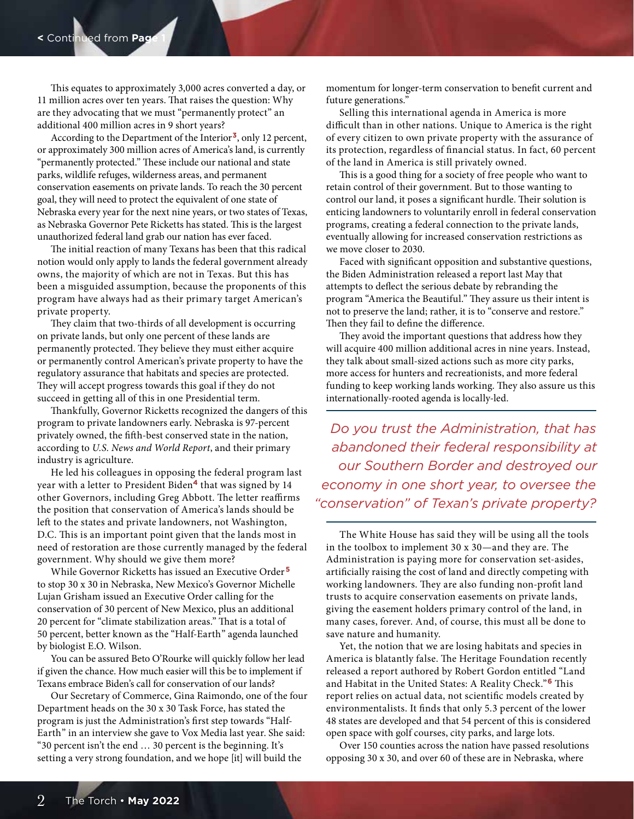This equates to approximately 3,000 acres converted a day, or 11 million acres over ten years. That raises the question: Why are they advocating that we must "permanently protect" an additional 400 million acres in 9 short years?

According to the Department of the Interior**<sup>3</sup>**, only 12 percent, or approximately 300 million acres of America's land, is currently "permanently protected." These include our national and state parks, wildlife refuges, wilderness areas, and permanent conservation easements on private lands. To reach the 30 percent goal, they will need to protect the equivalent of one state of Nebraska every year for the next nine years, or two states of Texas, as Nebraska Governor Pete Ricketts has stated. This is the largest unauthorized federal land grab our nation has ever faced.

The initial reaction of many Texans has been that this radical notion would only apply to lands the federal government already owns, the majority of which are not in Texas. But this has been a misguided assumption, because the proponents of this program have always had as their primary target American's private property.

They claim that two-thirds of all development is occurring on private lands, but only one percent of these lands are permanently protected. They believe they must either acquire or permanently control American's private property to have the regulatory assurance that habitats and species are protected. They will accept progress towards this goal if they do not succeed in getting all of this in one Presidential term.

Thankfully, Governor Ricketts recognized the dangers of this program to private landowners early. Nebraska is 97-percent privately owned, the fifth-best conserved state in the nation, according to *U.S. News and World Report*, and their primary industry is agriculture.

He led his colleagues in opposing the federal program last year with a letter to President Biden**<sup>4</sup>** that was signed by 14 other Governors, including Greg Abbott. The letter reaffirms the position that conservation of America's lands should be left to the states and private landowners, not Washington, D.C. This is an important point given that the lands most in need of restoration are those currently managed by the federal government. Why should we give them more?

While Governor Ricketts has issued an Executive Order **<sup>5</sup>** to stop 30 x 30 in Nebraska, New Mexico's Governor Michelle Lujan Grisham issued an Executive Order calling for the conservation of 30 percent of New Mexico, plus an additional 20 percent for "climate stabilization areas." That is a total of 50 percent, better known as the "Half-Earth" agenda launched by biologist E.O. Wilson.

You can be assured Beto O'Rourke will quickly follow her lead if given the chance. How much easier will this be to implement if Texans embrace Biden's call for conservation of our lands?

Our Secretary of Commerce, Gina Raimondo, one of the four Department heads on the 30 x 30 Task Force, has stated the program is just the Administration's first step towards "Half-Earth" in an interview she gave to Vox Media last year. She said: "30 percent isn't the end … 30 percent is the beginning. It's setting a very strong foundation, and we hope [it] will build the

momentum for longer-term conservation to benefit current and future generations."

Selling this international agenda in America is more difficult than in other nations. Unique to America is the right of every citizen to own private property with the assurance of its protection, regardless of financial status. In fact, 60 percent of the land in America is still privately owned.

This is a good thing for a society of free people who want to retain control of their government. But to those wanting to control our land, it poses a significant hurdle. Their solution is enticing landowners to voluntarily enroll in federal conservation programs, creating a federal connection to the private lands, eventually allowing for increased conservation restrictions as we move closer to 2030.

Faced with significant opposition and substantive questions, the Biden Administration released a report last May that attempts to deflect the serious debate by rebranding the program "America the Beautiful." They assure us their intent is not to preserve the land; rather, it is to "conserve and restore." Then they fail to define the difference.

They avoid the important questions that address how they will acquire 400 million additional acres in nine years. Instead, they talk about small-sized actions such as more city parks, more access for hunters and recreationists, and more federal funding to keep working lands working. They also assure us this internationally-rooted agenda is locally-led.

*Do you trust the Administration, that has abandoned their federal responsibility at our Southern Border and destroyed our economy in one short year, to oversee the "conservation" of Texan's private property?*

The White House has said they will be using all the tools in the toolbox to implement 30 x 30—and they are. The Administration is paying more for conservation set-asides, artificially raising the cost of land and directly competing with working landowners. They are also funding non-profit land trusts to acquire conservation easements on private lands, giving the easement holders primary control of the land, in many cases, forever. And, of course, this must all be done to save nature and humanity.

Yet, the notion that we are losing habitats and species in America is blatantly false. The Heritage Foundation recently released a report authored by Robert Gordon entitled "Land and Habitat in the United States: A Reality Check."**<sup>6</sup>** This report relies on actual data, not scientific models created by environmentalists. It finds that only 5.3 percent of the lower 48 states are developed and that 54 percent of this is considered open space with golf courses, city parks, and large lots.

Over 150 counties across the nation have passed resolutions opposing 30 x 30, and over 60 of these are in Nebraska, where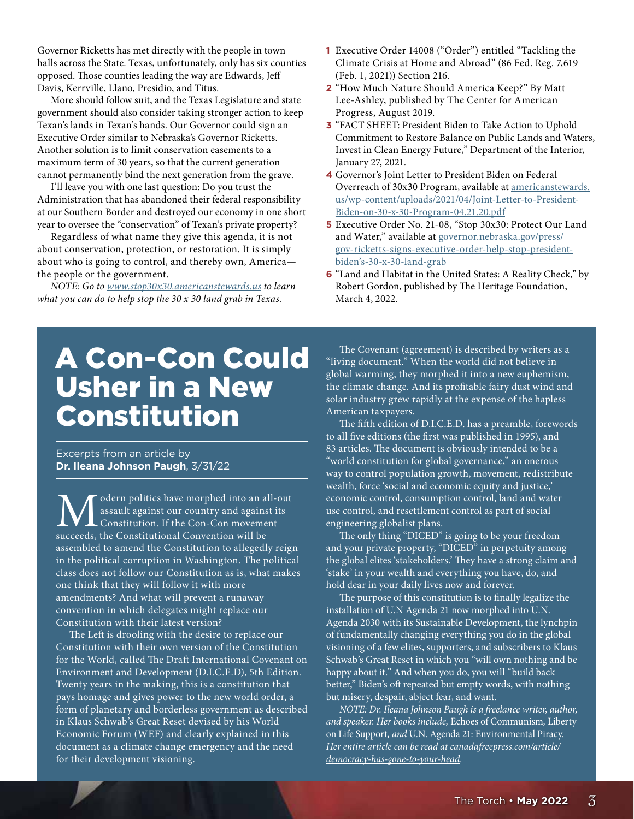Governor Ricketts has met directly with the people in town halls across the State. Texas, unfortunately, only has six counties opposed. Those counties leading the way are Edwards, Jeff Davis, Kerrville, Llano, Presidio, and Titus.

More should follow suit, and the Texas Legislature and state government should also consider taking stronger action to keep Texan's lands in Texan's hands. Our Governor could sign an Executive Order similar to Nebraska's Governor Ricketts. Another solution is to limit conservation easements to a maximum term of 30 years, so that the current generation cannot permanently bind the next generation from the grave.

I'll leave you with one last question: Do you trust the Administration that has abandoned their federal responsibility at our Southern Border and destroyed our economy in one short year to oversee the "conservation" of Texan's private property?

Regardless of what name they give this agenda, it is not about conservation, protection, or restoration. It is simply about who is going to control, and thereby own, America the people or the government.

*NOTE: Go to www.stop30x30.americanstewards.us to learn what you can do to help stop the 30 x 30 land grab in Texas.*

- **1** Executive Order 14008 ("Order") entitled "Tackling the Climate Crisis at Home and Abroad" (86 Fed. Reg. 7,619 (Feb. 1, 2021)) Section 216.
- **2** "How Much Nature Should America Keep?" By Matt Lee-Ashley, published by The Center for American Progress, August 2019.
- **3** "FACT SHEET: President Biden to Take Action to Uphold Commitment to Restore Balance on Public Lands and Waters, Invest in Clean Energy Future," Department of the Interior, January 27, 2021.
- **4** Governor's Joint Letter to President Biden on Federal Overreach of 30x30 Program, available at americanstewards. us/wp-content/uploads/2021/04/Joint-Letter-to-President-Biden-on-30-x-30-Program-04.21.20.pdf
- **5** Executive Order No. 21-08, "Stop 30x30: Protect Our Land and Water," available at governor.nebraska.gov/press/ gov-ricketts-signs-executive-order-help-stop-presidentbiden's-30-x-30-land-grab
- **6** "Land and Habitat in the United States: A Reality Check," by Robert Gordon, published by The Heritage Foundation, March 4, 2022.

# A Con-Con Could Usher in a New Constitution

Excerpts from an article by **Dr. Ileana Johnson Paugh**, 3/31/22

**M** odern politics have morphed into an all-out assault against our country and against its Constitution. If the Con-Con movement succeeds, the Constitutional Convention will be assault against our country and against its Constitution. If the Con-Con movement assembled to amend the Constitution to allegedly reign in the political corruption in Washington. The political class does not follow our Constitution as is, what makes one think that they will follow it with more amendments? And what will prevent a runaway convention in which delegates might replace our Constitution with their latest version?

The Left is drooling with the desire to replace our Constitution with their own version of the Constitution for the World, called The Draft International Covenant on Environment and Development (D.I.C.E.D), 5th Edition. Twenty years in the making, this is a constitution that pays homage and gives power to the new world order, a form of planetary and borderless government as described in Klaus Schwab's Great Reset devised by his World Economic Forum (WEF) and clearly explained in this document as a climate change emergency and the need for their development visioning.

The Covenant (agreement) is described by writers as a "living document." When the world did not believe in global warming, they morphed it into a new euphemism, the climate change. And its profitable fairy dust wind and solar industry grew rapidly at the expense of the hapless American taxpayers.

The fifth edition of D.I.C.E.D. has a preamble, forewords to all five editions (the first was published in 1995), and 83 articles. The document is obviously intended to be a "world constitution for global governance," an onerous way to control population growth, movement, redistribute wealth, force 'social and economic equity and justice,' economic control, consumption control, land and water use control, and resettlement control as part of social engineering globalist plans.

The only thing "DICED" is going to be your freedom and your private property, "DICED" in perpetuity among the global elites 'stakeholders.' They have a strong claim and 'stake' in your wealth and everything you have, do, and hold dear in your daily lives now and forever.

The purpose of this constitution is to finally legalize the installation of U.N Agenda 21 now morphed into U.N. Agenda 2030 with its Sustainable Development, the lynchpin of fundamentally changing everything you do in the global visioning of a few elites, supporters, and subscribers to Klaus Schwab's Great Reset in which you "will own nothing and be happy about it." And when you do, you will "build back better," Biden's oft repeated but empty words, with nothing but misery, despair, abject fear, and want.

*NOTE: Dr. Ileana Johnson Paugh is a freelance writer, author, and speaker. Her books include,* Echoes of Communism*,* Liberty on Life Support*, and* U.N. Agenda 21: Environmental Piracy*. Her entire article can be read at canadafreepress.com/article/ democracy-has-gone-to-your-head.*